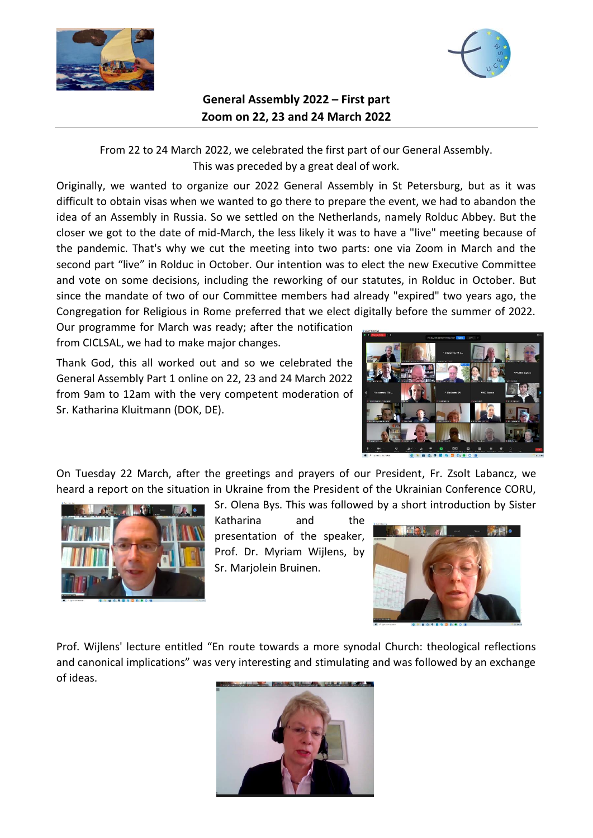



## **General Assembly 2022 – First part Zoom on 22, 23 and 24 March 2022**

From 22 to 24 March 2022, we celebrated the first part of our General Assembly. This was preceded by a great deal of work.

Originally, we wanted to organize our 2022 General Assembly in St Petersburg, but as it was difficult to obtain visas when we wanted to go there to prepare the event, we had to abandon the idea of an Assembly in Russia. So we settled on the Netherlands, namely Rolduc Abbey. But the closer we got to the date of mid-March, the less likely it was to have a "live" meeting because of the pandemic. That's why we cut the meeting into two parts: one via Zoom in March and the second part "live" in Rolduc in October. Our intention was to elect the new Executive Committee and vote on some decisions, including the reworking of our statutes, in Rolduc in October. But since the mandate of two of our Committee members had already "expired" two years ago, the Congregation for Religious in Rome preferred that we elect digitally before the summer of 2022.

Our programme for March was ready; after the notification from CICLSAL, we had to make major changes.

Thank God, this all worked out and so we celebrated the General Assembly Part 1 online on 22, 23 and 24 March 2022 from 9am to 12am with the very competent moderation of Sr. Katharina Kluitmann (DOK, DE).



On Tuesday 22 March, after the greetings and prayers of our President, Fr. Zsolt Labancz, we heard a report on the situation in Ukraine from the President of the Ukrainian Conference CORU,

Sr. Olena Bys. This was followed by a short introduction by Sister



Katharina and the presentation of the speaker, Prof. Dr. Myriam Wijlens, by Sr. Marjolein Bruinen.



Prof. Wijlens' lecture entitled "En route towards a more synodal Church: theological reflections and canonical implications" was very interesting and stimulating and was followed by an exchange of ideas.